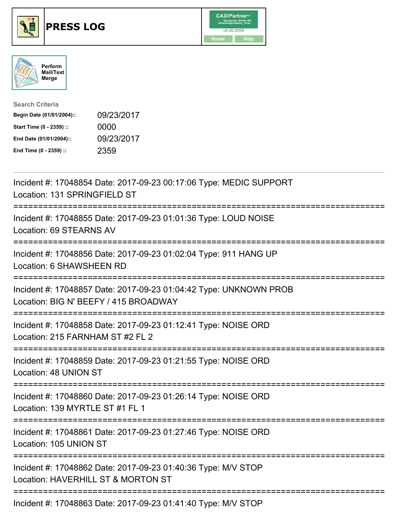





| <b>Search Criteria</b>    |            |
|---------------------------|------------|
| Begin Date (01/01/2004):: | 09/23/2017 |
| Start Time (0 - 2359) ::  | 0000       |
| End Date (01/01/2004)::   | 09/23/2017 |
| End Time (0 - 2359) ::    | 2359       |

| Incident #: 17048854 Date: 2017-09-23 00:17:06 Type: MEDIC SUPPORT<br>Location: 131 SPRINGFIELD ST         |
|------------------------------------------------------------------------------------------------------------|
| Incident #: 17048855 Date: 2017-09-23 01:01:36 Type: LOUD NOISE<br>Location: 69 STEARNS AV                 |
| Incident #: 17048856 Date: 2017-09-23 01:02:04 Type: 911 HANG UP<br>Location: 6 SHAWSHEEN RD               |
| Incident #: 17048857 Date: 2017-09-23 01:04:42 Type: UNKNOWN PROB<br>Location: BIG N' BEEFY / 415 BROADWAY |
| Incident #: 17048858 Date: 2017-09-23 01:12:41 Type: NOISE ORD<br>Location: 215 FARNHAM ST #2 FL 2         |
| Incident #: 17048859 Date: 2017-09-23 01:21:55 Type: NOISE ORD<br>Location: 48 UNION ST                    |
| Incident #: 17048860 Date: 2017-09-23 01:26:14 Type: NOISE ORD<br>Location: 139 MYRTLE ST #1 FL 1          |
| Incident #: 17048861 Date: 2017-09-23 01:27:46 Type: NOISE ORD<br>Location: 105 UNION ST                   |
| Incident #: 17048862 Date: 2017-09-23 01:40:36 Type: M/V STOP<br>Location: HAVERHILL ST & MORTON ST        |
| Incident #: 17048863 Date: 2017-09-23 01:41:40 Type: M/V STOP                                              |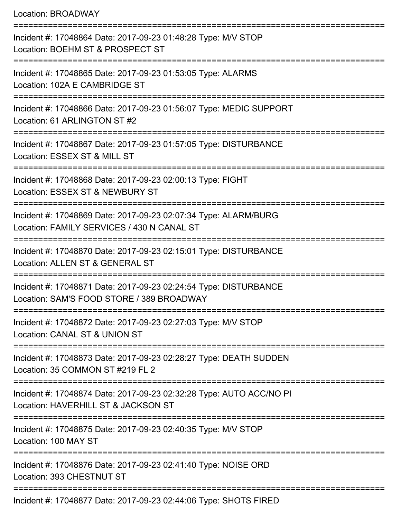Location: BROADWAY

=========================================================================== Incident #: 17048864 Date: 2017-09-23 01:48:28 Type: M/V STOP Location: BOEHM ST & PROSPECT ST =========================================================================== Incident #: 17048865 Date: 2017-09-23 01:53:05 Type: ALARMS Location: 102A E CAMBRIDGE ST =========================================================================== Incident #: 17048866 Date: 2017-09-23 01:56:07 Type: MEDIC SUPPORT Location: 61 ARLINGTON ST #2 =========================================================================== Incident #: 17048867 Date: 2017-09-23 01:57:05 Type: DISTURBANCE Location: ESSEX ST & MILL ST =========================================================================== Incident #: 17048868 Date: 2017-09-23 02:00:13 Type: FIGHT Location: ESSEX ST & NEWBURY ST =========================================================================== Incident #: 17048869 Date: 2017-09-23 02:07:34 Type: ALARM/BURG Location: FAMILY SERVICES / 430 N CANAL ST =========================================================================== Incident #: 17048870 Date: 2017-09-23 02:15:01 Type: DISTURBANCE Location: ALLEN ST & GENERAL ST =========================================================================== Incident #: 17048871 Date: 2017-09-23 02:24:54 Type: DISTURBANCE Location: SAM'S FOOD STORE / 389 BROADWAY =========================================================================== Incident #: 17048872 Date: 2017-09-23 02:27:03 Type: M/V STOP Location: CANAL ST & UNION ST =========================================================================== Incident #: 17048873 Date: 2017-09-23 02:28:27 Type: DEATH SUDDEN Location: 35 COMMON ST #219 FL 2 =========================================================================== Incident #: 17048874 Date: 2017-09-23 02:32:28 Type: AUTO ACC/NO PI Location: HAVERHILL ST & JACKSON ST =========================================================================== Incident #: 17048875 Date: 2017-09-23 02:40:35 Type: M/V STOP Location: 100 MAY ST =========================================================================== Incident #: 17048876 Date: 2017-09-23 02:41:40 Type: NOISE ORD Location: 393 CHESTNUT ST =========================================================================== Incident #: 17048877 Date: 2017-09-23 02:44:06 Type: SHOTS FIRED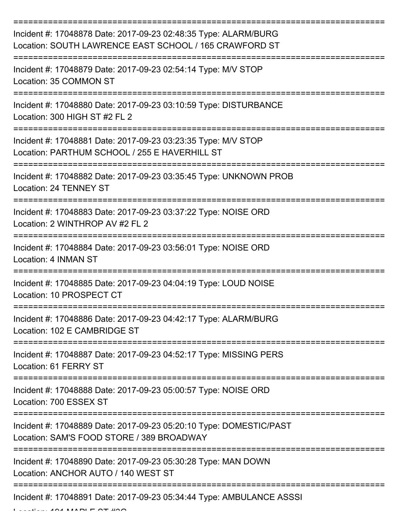| Incident #: 17048878 Date: 2017-09-23 02:48:35 Type: ALARM/BURG<br>Location: SOUTH LAWRENCE EAST SCHOOL / 165 CRAWFORD ST |
|---------------------------------------------------------------------------------------------------------------------------|
| Incident #: 17048879 Date: 2017-09-23 02:54:14 Type: M/V STOP<br>Location: 35 COMMON ST                                   |
| Incident #: 17048880 Date: 2017-09-23 03:10:59 Type: DISTURBANCE<br>Location: 300 HIGH ST #2 FL 2                         |
| Incident #: 17048881 Date: 2017-09-23 03:23:35 Type: M/V STOP<br>Location: PARTHUM SCHOOL / 255 E HAVERHILL ST            |
| Incident #: 17048882 Date: 2017-09-23 03:35:45 Type: UNKNOWN PROB<br>Location: 24 TENNEY ST                               |
| Incident #: 17048883 Date: 2017-09-23 03:37:22 Type: NOISE ORD<br>Location: 2 WINTHROP AV #2 FL 2                         |
| Incident #: 17048884 Date: 2017-09-23 03:56:01 Type: NOISE ORD<br>Location: 4 INMAN ST                                    |
| Incident #: 17048885 Date: 2017-09-23 04:04:19 Type: LOUD NOISE<br>Location: 10 PROSPECT CT                               |
| Incident #: 17048886 Date: 2017-09-23 04:42:17 Type: ALARM/BURG<br>Location: 102 E CAMBRIDGE ST                           |
| Incident #: 17048887 Date: 2017-09-23 04:52:17 Type: MISSING PERS<br>Location: 61 FERRY ST                                |
| Incident #: 17048888 Date: 2017-09-23 05:00:57 Type: NOISE ORD<br>Location: 700 ESSEX ST                                  |
| Incident #: 17048889 Date: 2017-09-23 05:20:10 Type: DOMESTIC/PAST<br>Location: SAM'S FOOD STORE / 389 BROADWAY           |
| Incident #: 17048890 Date: 2017-09-23 05:30:28 Type: MAN DOWN<br>Location: ANCHOR AUTO / 140 WEST ST                      |
| Incident #: 17048891 Date: 2017-09-23 05:34:44 Type: AMBULANCE ASSSI                                                      |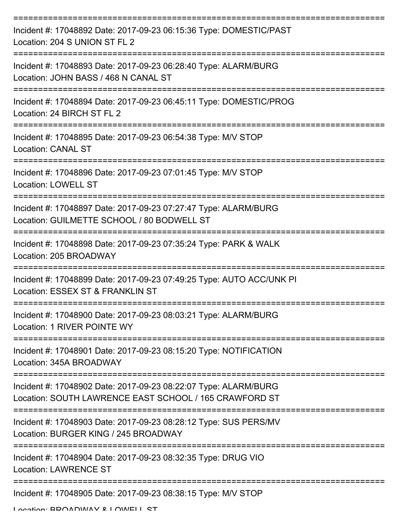| Incident #: 17048892 Date: 2017-09-23 06:15:36 Type: DOMESTIC/PAST<br>Location: 204 S UNION ST FL 2                                |
|------------------------------------------------------------------------------------------------------------------------------------|
| Incident #: 17048893 Date: 2017-09-23 06:28:40 Type: ALARM/BURG<br>Location: JOHN BASS / 468 N CANAL ST                            |
| Incident #: 17048894 Date: 2017-09-23 06:45:11 Type: DOMESTIC/PROG<br>Location: 24 BIRCH ST FL 2                                   |
| Incident #: 17048895 Date: 2017-09-23 06:54:38 Type: M/V STOP<br><b>Location: CANAL ST</b>                                         |
| Incident #: 17048896 Date: 2017-09-23 07:01:45 Type: M/V STOP<br><b>Location: LOWELL ST</b>                                        |
| Incident #: 17048897 Date: 2017-09-23 07:27:47 Type: ALARM/BURG<br>Location: GUILMETTE SCHOOL / 80 BODWELL ST                      |
| Incident #: 17048898 Date: 2017-09-23 07:35:24 Type: PARK & WALK<br>Location: 205 BROADWAY                                         |
| Incident #: 17048899 Date: 2017-09-23 07:49:25 Type: AUTO ACC/UNK PI<br>Location: ESSEX ST & FRANKLIN ST                           |
| Incident #: 17048900 Date: 2017-09-23 08:03:21 Type: ALARM/BURG<br>Location: 1 RIVER POINTE WY                                     |
| Incident #: 17048901 Date: 2017-09-23 08:15:20 Type: NOTIFICATION<br>Location: 345A BROADWAY                                       |
| Incident #: 17048902 Date: 2017-09-23 08:22:07 Type: ALARM/BURG<br>Location: SOUTH LAWRENCE EAST SCHOOL / 165 CRAWFORD ST          |
| Incident #: 17048903 Date: 2017-09-23 08:28:12 Type: SUS PERS/MV<br>Location: BURGER KING / 245 BROADWAY                           |
| Incident #: 17048904 Date: 2017-09-23 08:32:35 Type: DRUG VIO<br><b>Location: LAWRENCE ST</b>                                      |
| =============================<br>Incident #: 17048905 Date: 2017-09-23 08:38:15 Type: M/V STOP<br>I ocation: RDOADMAV & I OMELL CT |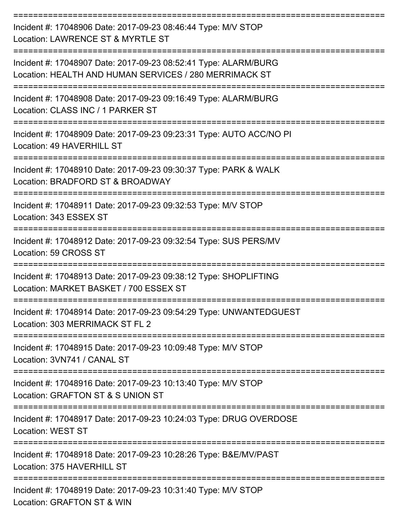| Incident #: 17048906 Date: 2017-09-23 08:46:44 Type: M/V STOP<br>Location: LAWRENCE ST & MYRTLE ST                        |
|---------------------------------------------------------------------------------------------------------------------------|
| Incident #: 17048907 Date: 2017-09-23 08:52:41 Type: ALARM/BURG<br>Location: HEALTH AND HUMAN SERVICES / 280 MERRIMACK ST |
| Incident #: 17048908 Date: 2017-09-23 09:16:49 Type: ALARM/BURG<br>Location: CLASS INC / 1 PARKER ST<br>:===============  |
| Incident #: 17048909 Date: 2017-09-23 09:23:31 Type: AUTO ACC/NO PI<br>Location: 49 HAVERHILL ST                          |
| Incident #: 17048910 Date: 2017-09-23 09:30:37 Type: PARK & WALK<br>Location: BRADFORD ST & BROADWAY                      |
| Incident #: 17048911 Date: 2017-09-23 09:32:53 Type: M/V STOP<br>Location: 343 ESSEX ST<br>==================             |
| Incident #: 17048912 Date: 2017-09-23 09:32:54 Type: SUS PERS/MV<br>Location: 59 CROSS ST                                 |
| Incident #: 17048913 Date: 2017-09-23 09:38:12 Type: SHOPLIFTING<br>Location: MARKET BASKET / 700 ESSEX ST                |
| Incident #: 17048914 Date: 2017-09-23 09:54:29 Type: UNWANTEDGUEST<br>Location: 303 MERRIMACK ST FL 2                     |
| Incident #: 17048915 Date: 2017-09-23 10:09:48 Type: M/V STOP<br>Location: 3VN741 / CANAL ST                              |
| Incident #: 17048916 Date: 2017-09-23 10:13:40 Type: M/V STOP<br>Location: GRAFTON ST & S UNION ST                        |
| Incident #: 17048917 Date: 2017-09-23 10:24:03 Type: DRUG OVERDOSE<br><b>Location: WEST ST</b>                            |
| Incident #: 17048918 Date: 2017-09-23 10:28:26 Type: B&E/MV/PAST<br>Location: 375 HAVERHILL ST                            |
| Incident #: 17048919 Date: 2017-09-23 10:31:40 Type: M/V STOP<br>Location: GRAFTON ST & WIN                               |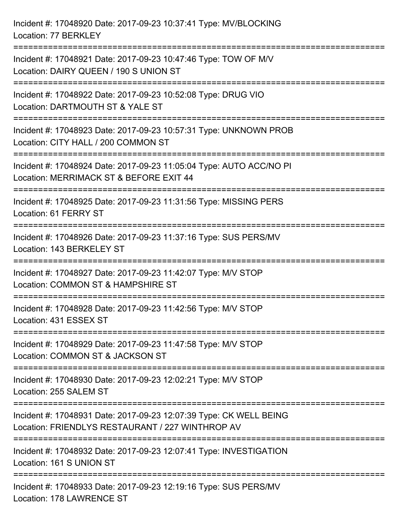Incident #: 17048920 Date: 2017-09-23 10:37:41 Type: MV/BLOCKING Location: 77 BERKLEY =========================================================================== Incident #: 17048921 Date: 2017-09-23 10:47:46 Type: TOW OF M/V Location: DAIRY QUEEN / 190 S UNION ST =========================================================================== Incident #: 17048922 Date: 2017-09-23 10:52:08 Type: DRUG VIO Location: DARTMOUTH ST & YALE ST =========================================================================== Incident #: 17048923 Date: 2017-09-23 10:57:31 Type: UNKNOWN PROB Location: CITY HALL / 200 COMMON ST =========================================================================== Incident #: 17048924 Date: 2017-09-23 11:05:04 Type: AUTO ACC/NO PI Location: MERRIMACK ST & BEFORE EXIT 44 =========================================================================== Incident #: 17048925 Date: 2017-09-23 11:31:56 Type: MISSING PERS Location: 61 FERRY ST =========================================================================== Incident #: 17048926 Date: 2017-09-23 11:37:16 Type: SUS PERS/MV Location: 143 BERKELEY ST =========================================================================== Incident #: 17048927 Date: 2017-09-23 11:42:07 Type: M/V STOP Location: COMMON ST & HAMPSHIRE ST =========================================================================== Incident #: 17048928 Date: 2017-09-23 11:42:56 Type: M/V STOP Location: 431 ESSEX ST =========================================================================== Incident #: 17048929 Date: 2017-09-23 11:47:58 Type: M/V STOP Location: COMMON ST & JACKSON ST =========================================================================== Incident #: 17048930 Date: 2017-09-23 12:02:21 Type: M/V STOP Location: 255 SALEM ST =========================================================================== Incident #: 17048931 Date: 2017-09-23 12:07:39 Type: CK WELL BEING Location: FRIENDLYS RESTAURANT / 227 WINTHROP AV =========================================================================== Incident #: 17048932 Date: 2017-09-23 12:07:41 Type: INVESTIGATION Location: 161 S UNION ST =========================================================================== Incident #: 17048933 Date: 2017-09-23 12:19:16 Type: SUS PERS/MV Location: 178 LAWRENCE ST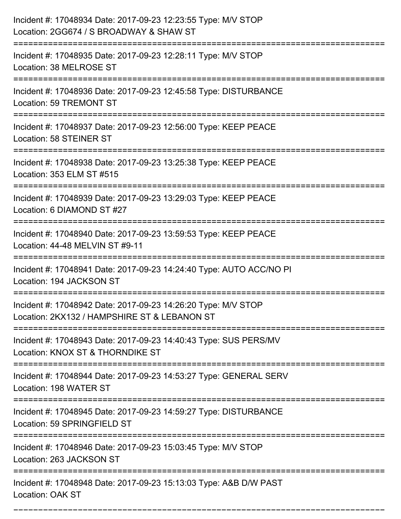| Incident #: 17048934 Date: 2017-09-23 12:23:55 Type: M/V STOP<br>Location: 2GG674 / S BROADWAY & SHAW ST      |
|---------------------------------------------------------------------------------------------------------------|
| Incident #: 17048935 Date: 2017-09-23 12:28:11 Type: M/V STOP<br>Location: 38 MELROSE ST                      |
| Incident #: 17048936 Date: 2017-09-23 12:45:58 Type: DISTURBANCE<br>Location: 59 TREMONT ST                   |
| Incident #: 17048937 Date: 2017-09-23 12:56:00 Type: KEEP PEACE<br>Location: 58 STEINER ST                    |
| Incident #: 17048938 Date: 2017-09-23 13:25:38 Type: KEEP PEACE<br>Location: 353 ELM ST #515                  |
| Incident #: 17048939 Date: 2017-09-23 13:29:03 Type: KEEP PEACE<br>Location: 6 DIAMOND ST #27                 |
| Incident #: 17048940 Date: 2017-09-23 13:59:53 Type: KEEP PEACE<br>Location: 44-48 MELVIN ST #9-11            |
| Incident #: 17048941 Date: 2017-09-23 14:24:40 Type: AUTO ACC/NO PI<br>Location: 194 JACKSON ST               |
| Incident #: 17048942 Date: 2017-09-23 14:26:20 Type: M/V STOP<br>Location: 2KX132 / HAMPSHIRE ST & LEBANON ST |
| Incident #: 17048943 Date: 2017-09-23 14:40:43 Type: SUS PERS/MV<br>Location: KNOX ST & THORNDIKE ST          |
| Incident #: 17048944 Date: 2017-09-23 14:53:27 Type: GENERAL SERV<br>Location: 198 WATER ST                   |
| Incident #: 17048945 Date: 2017-09-23 14:59:27 Type: DISTURBANCE<br>Location: 59 SPRINGFIELD ST               |
| Incident #: 17048946 Date: 2017-09-23 15:03:45 Type: M/V STOP<br>Location: 263 JACKSON ST                     |
| Incident #: 17048948 Date: 2017-09-23 15:13:03 Type: A&B D/W PAST<br><b>Location: OAK ST</b>                  |

===========================================================================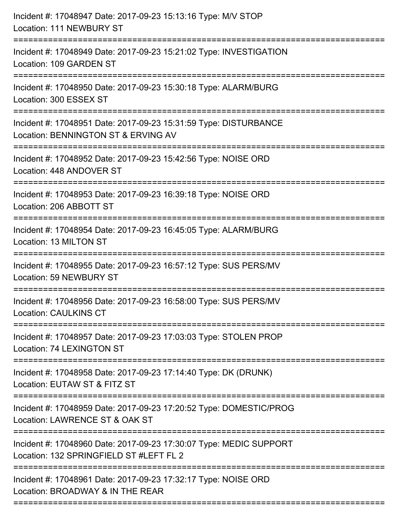| Incident #: 17048947 Date: 2017-09-23 15:13:16 Type: M/V STOP<br>Location: 111 NEWBURY ST                                |
|--------------------------------------------------------------------------------------------------------------------------|
| Incident #: 17048949 Date: 2017-09-23 15:21:02 Type: INVESTIGATION<br>Location: 109 GARDEN ST                            |
| Incident #: 17048950 Date: 2017-09-23 15:30:18 Type: ALARM/BURG<br>Location: 300 ESSEX ST                                |
| Incident #: 17048951 Date: 2017-09-23 15:31:59 Type: DISTURBANCE<br>Location: BENNINGTON ST & ERVING AV                  |
| Incident #: 17048952 Date: 2017-09-23 15:42:56 Type: NOISE ORD<br>Location: 448 ANDOVER ST<br>:========================= |
| Incident #: 17048953 Date: 2017-09-23 16:39:18 Type: NOISE ORD<br>Location: 206 ABBOTT ST                                |
| Incident #: 17048954 Date: 2017-09-23 16:45:05 Type: ALARM/BURG<br>Location: 13 MILTON ST                                |
| Incident #: 17048955 Date: 2017-09-23 16:57:12 Type: SUS PERS/MV<br>Location: 59 NEWBURY ST                              |
| Incident #: 17048956 Date: 2017-09-23 16:58:00 Type: SUS PERS/MV<br><b>Location: CAULKINS CT</b>                         |
| Incident #: 17048957 Date: 2017-09-23 17:03:03 Type: STOLEN PROP<br>Location: 74 LEXINGTON ST                            |
| Incident #: 17048958 Date: 2017-09-23 17:14:40 Type: DK (DRUNK)<br>Location: EUTAW ST & FITZ ST                          |
| Incident #: 17048959 Date: 2017-09-23 17:20:52 Type: DOMESTIC/PROG<br>Location: LAWRENCE ST & OAK ST                     |
| Incident #: 17048960 Date: 2017-09-23 17:30:07 Type: MEDIC SUPPORT<br>Location: 132 SPRINGFIELD ST #LEFT FL 2            |
| Incident #: 17048961 Date: 2017-09-23 17:32:17 Type: NOISE ORD<br>Location: BROADWAY & IN THE REAR                       |
|                                                                                                                          |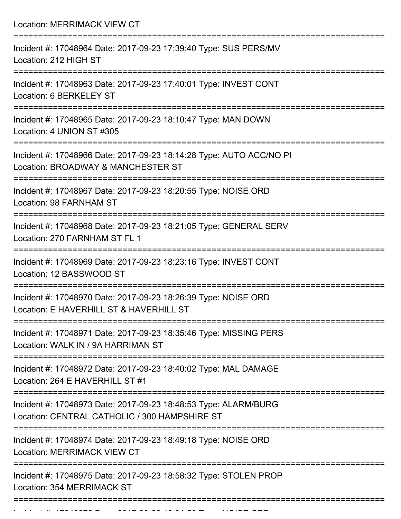Location: MERRIMACK VIEW CT =========================================================================== Incident #: 17048964 Date: 2017-09-23 17:39:40 Type: SUS PERS/MV Location: 212 HIGH ST =========================================================================== Incident #: 17048963 Date: 2017-09-23 17:40:01 Type: INVEST CONT Location: 6 BERKELEY ST =========================================================================== Incident #: 17048965 Date: 2017-09-23 18:10:47 Type: MAN DOWN Location: 4 UNION ST #305 =========================================================================== Incident #: 17048966 Date: 2017-09-23 18:14:28 Type: AUTO ACC/NO PI Location: BROADWAY & MANCHESTER ST =========================================================================== Incident #: 17048967 Date: 2017-09-23 18:20:55 Type: NOISE ORD Location: 98 FARNHAM ST =========================================================================== Incident #: 17048968 Date: 2017-09-23 18:21:05 Type: GENERAL SERV Location: 270 FARNHAM ST FL 1 =========================================================================== Incident #: 17048969 Date: 2017-09-23 18:23:16 Type: INVEST CONT Location: 12 BASSWOOD ST =========================================================================== Incident #: 17048970 Date: 2017-09-23 18:26:39 Type: NOISE ORD Location: E HAVERHILL ST & HAVERHILL ST =========================================================================== Incident #: 17048971 Date: 2017-09-23 18:35:46 Type: MISSING PERS Location: WALK IN / 9A HARRIMAN ST =========================================================================== Incident #: 17048972 Date: 2017-09-23 18:40:02 Type: MAL DAMAGE Location: 264 E HAVERHILL ST #1 =========================================================================== Incident #: 17048973 Date: 2017-09-23 18:48:53 Type: ALARM/BURG Location: CENTRAL CATHOLIC / 300 HAMPSHIRE ST =========================================================================== Incident #: 17048974 Date: 2017-09-23 18:49:18 Type: NOISE ORD Location: MERRIMACK VIEW CT =========================================================================== Incident #: 17048975 Date: 2017-09-23 18:58:32 Type: STOLEN PROP Location: 354 MERRIMACK ST ===========================================================================

Incident #: 17048976 Date: 2017 09 23 19:01:53 Type: NOISE ORD.<br>.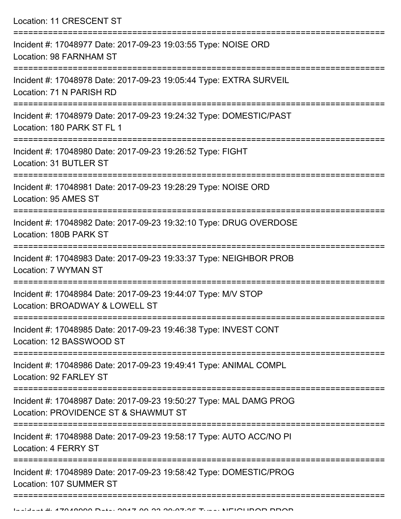Location: 11 CRESCENT ST =========================================================================== Incident #: 17048977 Date: 2017-09-23 19:03:55 Type: NOISE ORD Location: 98 FARNHAM ST =========================================================================== Incident #: 17048978 Date: 2017-09-23 19:05:44 Type: EXTRA SURVEIL Location: 71 N PARISH RD =========================================================================== Incident #: 17048979 Date: 2017-09-23 19:24:32 Type: DOMESTIC/PAST Location: 180 PARK ST FL 1 =========================================================================== Incident #: 17048980 Date: 2017-09-23 19:26:52 Type: FIGHT Location: 31 BUTLER ST =========================================================================== Incident #: 17048981 Date: 2017-09-23 19:28:29 Type: NOISE ORD Location: 95 AMES ST =========================================================================== Incident #: 17048982 Date: 2017-09-23 19:32:10 Type: DRUG OVERDOSE Location: 180B PARK ST =========================================================================== Incident #: 17048983 Date: 2017-09-23 19:33:37 Type: NEIGHBOR PROB Location: 7 WYMAN ST =========================================================================== Incident #: 17048984 Date: 2017-09-23 19:44:07 Type: M/V STOP Location: BROADWAY & LOWELL ST =========================================================================== Incident #: 17048985 Date: 2017-09-23 19:46:38 Type: INVEST CONT Location: 12 BASSWOOD ST =========================================================================== Incident #: 17048986 Date: 2017-09-23 19:49:41 Type: ANIMAL COMPL Location: 92 FARLEY ST =========================================================================== Incident #: 17048987 Date: 2017-09-23 19:50:27 Type: MAL DAMG PROG Location: PROVIDENCE ST & SHAWMUT ST =========================================================================== Incident #: 17048988 Date: 2017-09-23 19:58:17 Type: AUTO ACC/NO PI Location: 4 FERRY ST =========================================================================== Incident #: 17048989 Date: 2017-09-23 19:58:42 Type: DOMESTIC/PROG Location: 107 SUMMER ST

===========================================================================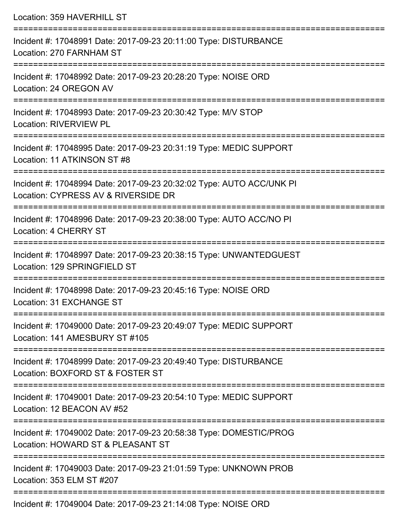| Location: 359 HAVERHILL ST                                                                                                          |
|-------------------------------------------------------------------------------------------------------------------------------------|
| Incident #: 17048991 Date: 2017-09-23 20:11:00 Type: DISTURBANCE<br>Location: 270 FARNHAM ST<br>=================================== |
| Incident #: 17048992 Date: 2017-09-23 20:28:20 Type: NOISE ORD<br>Location: 24 OREGON AV<br>___________________                     |
| Incident #: 17048993 Date: 2017-09-23 20:30:42 Type: M/V STOP<br><b>Location: RIVERVIEW PL</b><br>=============================     |
| Incident #: 17048995 Date: 2017-09-23 20:31:19 Type: MEDIC SUPPORT<br>Location: 11 ATKINSON ST #8                                   |
| Incident #: 17048994 Date: 2017-09-23 20:32:02 Type: AUTO ACC/UNK PI<br>Location: CYPRESS AV & RIVERSIDE DR                         |
| Incident #: 17048996 Date: 2017-09-23 20:38:00 Type: AUTO ACC/NO PI<br>Location: 4 CHERRY ST                                        |
| Incident #: 17048997 Date: 2017-09-23 20:38:15 Type: UNWANTEDGUEST<br>Location: 129 SPRINGFIELD ST                                  |
| Incident #: 17048998 Date: 2017-09-23 20:45:16 Type: NOISE ORD<br>Location: 31 EXCHANGE ST                                          |
| Incident #: 17049000 Date: 2017-09-23 20:49:07 Type: MEDIC SUPPORT<br>Location: 141 AMESBURY ST #105                                |
| Incident #: 17048999 Date: 2017-09-23 20:49:40 Type: DISTURBANCE<br>Location: BOXFORD ST & FOSTER ST                                |
| Incident #: 17049001 Date: 2017-09-23 20:54:10 Type: MEDIC SUPPORT<br>Location: 12 BEACON AV #52                                    |
| Incident #: 17049002 Date: 2017-09-23 20:58:38 Type: DOMESTIC/PROG<br>Location: HOWARD ST & PLEASANT ST                             |
| Incident #: 17049003 Date: 2017-09-23 21:01:59 Type: UNKNOWN PROB<br>Location: 353 ELM ST #207                                      |

Incident #: 17049004 Date: 2017-09-23 21:14:08 Type: NOISE ORD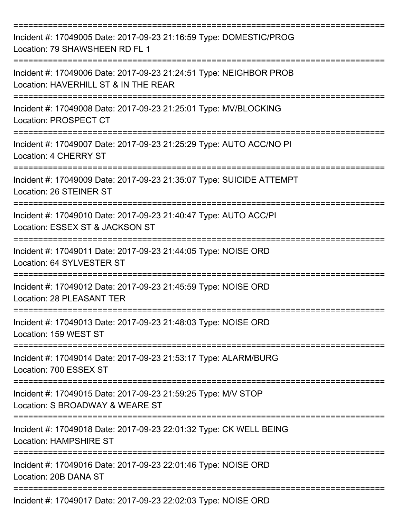| Incident #: 17049005 Date: 2017-09-23 21:16:59 Type: DOMESTIC/PROG<br>Location: 79 SHAWSHEEN RD FL 1       |
|------------------------------------------------------------------------------------------------------------|
| Incident #: 17049006 Date: 2017-09-23 21:24:51 Type: NEIGHBOR PROB<br>Location: HAVERHILL ST & IN THE REAR |
| Incident #: 17049008 Date: 2017-09-23 21:25:01 Type: MV/BLOCKING<br>Location: PROSPECT CT                  |
| Incident #: 17049007 Date: 2017-09-23 21:25:29 Type: AUTO ACC/NO PI<br>Location: 4 CHERRY ST               |
| Incident #: 17049009 Date: 2017-09-23 21:35:07 Type: SUICIDE ATTEMPT<br>Location: 26 STEINER ST            |
| Incident #: 17049010 Date: 2017-09-23 21:40:47 Type: AUTO ACC/PI<br>Location: ESSEX ST & JACKSON ST        |
| Incident #: 17049011 Date: 2017-09-23 21:44:05 Type: NOISE ORD<br>Location: 64 SYLVESTER ST                |
| Incident #: 17049012 Date: 2017-09-23 21:45:59 Type: NOISE ORD<br><b>Location: 28 PLEASANT TER</b>         |
| Incident #: 17049013 Date: 2017-09-23 21:48:03 Type: NOISE ORD<br>Location: 159 WEST ST                    |
| Incident #: 17049014 Date: 2017-09-23 21:53:17 Type: ALARM/BURG<br>Location: 700 ESSEX ST                  |
| Incident #: 17049015 Date: 2017-09-23 21:59:25 Type: M/V STOP<br>Location: S BROADWAY & WEARE ST           |
| Incident #: 17049018 Date: 2017-09-23 22:01:32 Type: CK WELL BEING<br><b>Location: HAMPSHIRE ST</b>        |
| Incident #: 17049016 Date: 2017-09-23 22:01:46 Type: NOISE ORD<br>Location: 20B DANA ST                    |
| Incident #: 17049017 Date: 2017-09-23 22:02:03 Type: NOISE ORD                                             |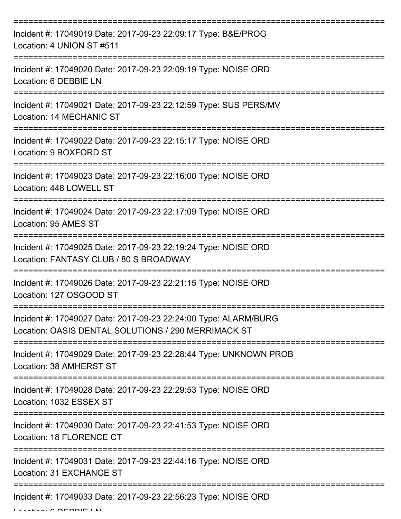| Incident #: 17049019 Date: 2017-09-23 22:09:17 Type: B&E/PROG<br>Location: 4 UNION ST #511                             |
|------------------------------------------------------------------------------------------------------------------------|
| Incident #: 17049020 Date: 2017-09-23 22:09:19 Type: NOISE ORD<br>Location: 6 DEBBIE LN                                |
| Incident #: 17049021 Date: 2017-09-23 22:12:59 Type: SUS PERS/MV<br><b>Location: 14 MECHANIC ST</b>                    |
| Incident #: 17049022 Date: 2017-09-23 22:15:17 Type: NOISE ORD<br>Location: 9 BOXFORD ST                               |
| Incident #: 17049023 Date: 2017-09-23 22:16:00 Type: NOISE ORD<br>Location: 448 LOWELL ST                              |
| Incident #: 17049024 Date: 2017-09-23 22:17:09 Type: NOISE ORD<br>Location: 95 AMES ST                                 |
| Incident #: 17049025 Date: 2017-09-23 22:19:24 Type: NOISE ORD<br>Location: FANTASY CLUB / 80 S BROADWAY               |
| Incident #: 17049026 Date: 2017-09-23 22:21:15 Type: NOISE ORD<br>Location: 127 OSGOOD ST                              |
| Incident #: 17049027 Date: 2017-09-23 22:24:00 Type: ALARM/BURG<br>Location: OASIS DENTAL SOLUTIONS / 290 MERRIMACK ST |
| Incident #: 17049029 Date: 2017-09-23 22:28:44 Type: UNKNOWN PROB<br>Location: 38 AMHERST ST                           |
| Incident #: 17049028 Date: 2017-09-23 22:29:53 Type: NOISE ORD<br>Location: 1032 ESSEX ST                              |
| Incident #: 17049030 Date: 2017-09-23 22:41:53 Type: NOISE ORD<br>Location: 18 FLORENCE CT                             |
| Incident #: 17049031 Date: 2017-09-23 22:44:16 Type: NOISE ORD<br>Location: 31 EXCHANGE ST                             |
| Incident #: 17049033 Date: 2017-09-23 22:56:23 Type: NOISE ORD                                                         |

Location: 6 DEBBIE LN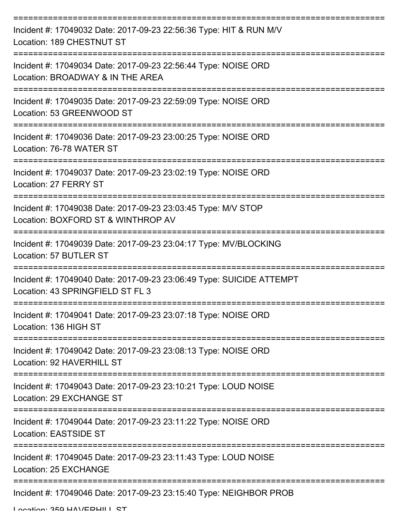| Incident #: 17049032 Date: 2017-09-23 22:56:36 Type: HIT & RUN M/V<br>Location: 189 CHESTNUT ST          |
|----------------------------------------------------------------------------------------------------------|
| Incident #: 17049034 Date: 2017-09-23 22:56:44 Type: NOISE ORD<br>Location: BROADWAY & IN THE AREA       |
| Incident #: 17049035 Date: 2017-09-23 22:59:09 Type: NOISE ORD<br>Location: 53 GREENWOOD ST              |
| Incident #: 17049036 Date: 2017-09-23 23:00:25 Type: NOISE ORD<br>Location: 76-78 WATER ST               |
| Incident #: 17049037 Date: 2017-09-23 23:02:19 Type: NOISE ORD<br>Location: 27 FERRY ST                  |
| Incident #: 17049038 Date: 2017-09-23 23:03:45 Type: M/V STOP<br>Location: BOXFORD ST & WINTHROP AV      |
| Incident #: 17049039 Date: 2017-09-23 23:04:17 Type: MV/BLOCKING<br>Location: 57 BUTLER ST               |
| Incident #: 17049040 Date: 2017-09-23 23:06:49 Type: SUICIDE ATTEMPT<br>Location: 43 SPRINGFIELD ST FL 3 |
| Incident #: 17049041 Date: 2017-09-23 23:07:18 Type: NOISE ORD<br>Location: 136 HIGH ST                  |
| Incident #: 17049042 Date: 2017-09-23 23:08:13 Type: NOISE ORD<br>Location: 92 HAVERHILL ST              |
| Incident #: 17049043 Date: 2017-09-23 23:10:21 Type: LOUD NOISE<br>Location: 29 EXCHANGE ST              |
| Incident #: 17049044 Date: 2017-09-23 23:11:22 Type: NOISE ORD<br>Location: EASTSIDE ST                  |
| Incident #: 17049045 Date: 2017-09-23 23:11:43 Type: LOUD NOISE<br>Location: 25 EXCHANGE                 |
| Incident #: 17049046 Date: 2017-09-23 23:15:40 Type: NEIGHBOR PROB                                       |